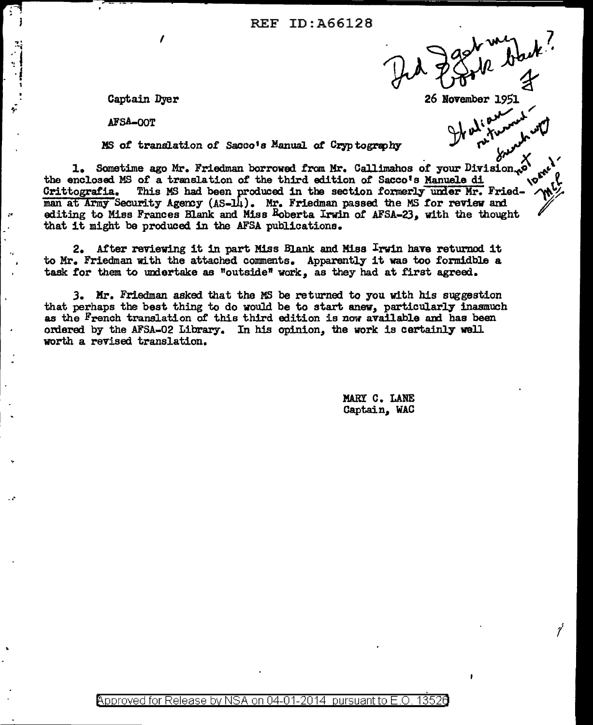26 November 1951

7

Captain Dyer

AFSA-OOT

 $\mathcal{L}$ 

 $\ddot{\phantom{a}}$ 

MS of translation of Sacco's Manual of Cryptography

1. Sometime ago Mr. Friedman borrowed from Mr. Callimahos of your Division... **IDEN!** the enclosed MS of a translation of the third edition of Sacco's Manuele di This MS had been produced in the section formerly under Mr. Fried-Grittografia. man at Army Security Agency (AS-14). Mr. Friedman passed the MS for review and editing to Miss Frances Blank and Miss Boberta Irwin of AFSA-23, with the thought that it might be produced in the AFSA publications.

2. After reviewing it in part Miss Blank and Miss Irwin have returned it to Mr. Friedman with the attached comments. Apparently it was too formidble a task for them to undertake as "outside" work, as they had at first agreed.

3. Mr. Friedman asked that the MS be returned to you with his suggestion that perhaps the best thing to do would be to start anew, particularly inasmuch as the French translation of this third edition is now available and has been ordered by the AFSA-02 Library. In his opinion, the work is certainly well worth a revised translation.

> MARY C. LANE Captain, WAC

Approved for Release by NSA on 04-01-2014 pursuant to E.O. 13526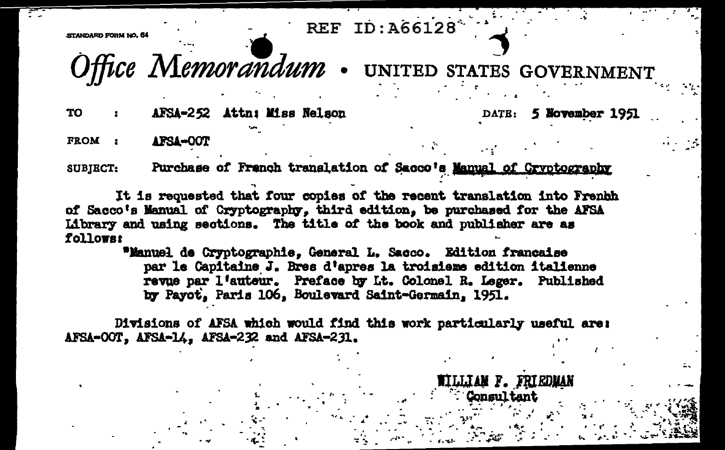**REF ID: A66128** 

**STANDARD RODM NO. RA** 

Office Memorandum . UNITED STATES GOVERNMENT

WILLIAM F. FRIEDMAN Consultant

AFSA-252 Attn: Miss Nelson **TO** 

5 November 1951 DATE:

FROM : AFSA-OOT

Purchase of French translation of Sacco's Manual of Cryptography **SUBIECT:** 

It is requested that four copies of the recent translation into Frenhh of Sacco's Manual of Cryptography. third edition, be purchased for the AFSA Library and using sections. The title of the book and publisher are as follower

> "Manuel de Cryptographie, General L. Sacco. Edition francaise par le Capitaine J. Bres d'apres la troisieme edition italienne revue par l'auteur. Preface by Lt. Colonel R. Leger. Published by Payot, Paris 106, Boulevard Saint-Germain, 1951.

Divisions of AFSA which would find this work particularly useful are: AFSA-OOT, AFSA-14, AFSA-232 and AFSA-231.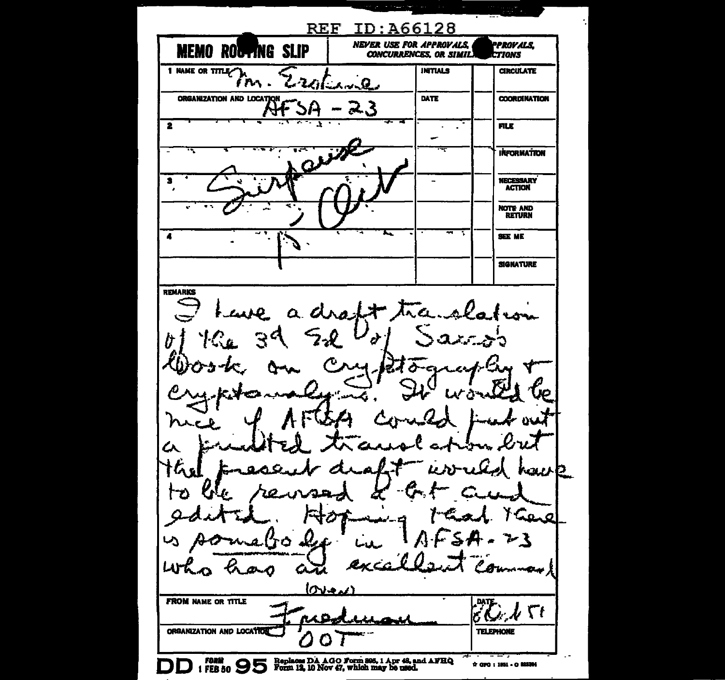ID:A66128 **REF NEVER USE FOR APPROVALS, PPROVALS MEMO ROUTING SLIP CONCURRENCES, OR SIMIL.**  $c$ *TIONS* 1 NAME OR TITLE A **INTIALS CIRCULATE** مكان المساء الممكن r An ORGANIZATION AND LOCATION DATE **COORDINATION** 23  $\overline{\mathbf{2}}$ **FILE**  $\overline{a}$ **INFORMATION** l, **NECESSARY**  $\bullet$ **ACTION** NOTE AND  $\overline{4}$ **SEE ME** J. **SIGNATURE REMARKS**  $\mathcal{L}$ Tra  $6.110$  $\mathbf{z}$  and 7 b. Þ زيد صف ⊁ ડે ৴১ جردها **FROM NAME OR TITLE** Гt ORGANIZATION AND LOCATION **TELEPHONE** FORM (FEB 50 September 12, 10 Nov 47, which may be used. \* 070:1051-0 00504 D